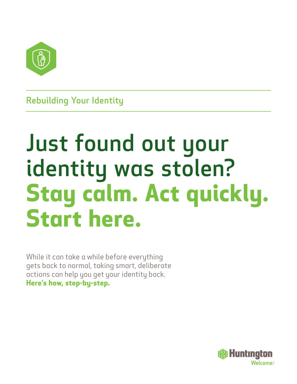

Rebuilding Your Identity

# Just found out your identity was stolen? **Stay calm. Act quickly. Start here.**

While it can take a while before everything gets back to normal, taking smart, deliberate actions can help you get your identity back. **Here's how, step-by-step.**

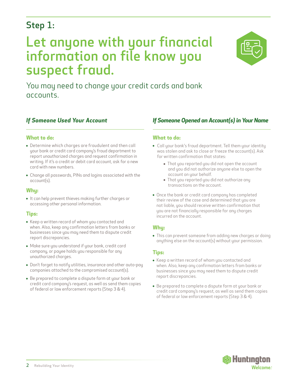### Step 1:

## Let anyone with your financial information on file know you suspect fraud.



You may need to change your credit cards and bank accounts.

### *If Someone Used Your Account*

#### **What to do:**

- Determine which charges are fraudulent and then call your bank or credit card company's fraud department to report unauthorized charges and request confirmation in writing. If it's a credit or debit card account, ask for a new card with new numbers.
- Change all passwords, PINs and logins associated with the account(s).

#### **Why:**

It can help prevent thieves making further charges or accessing other personal information.

#### **Tips:**

- Keep a written record of whom you contacted and when. Also, keep any confirmation letters from banks or businesses since you may need them to dispute credit report discrepancies.
- Make sure you understand if your bank, credit card company, or payee holds you responsible for any unauthorized charges.
- Don't forget to notify utilities, insurance and other auto-pay companies attached to the compromised account(s).
- Be prepared to complete a dispute form at your bank or credit card company's request, as well as send them copies of federal or law enforcement reports (Step 3 & 4).

### *If Someone Opened an Account(s) in Your Name*

#### **What to do:**

- Call your bank's fraud department. Tell them your identity was stolen and ask to close or freeze the account(s). Ask for written confirmation that states:
	- That you reported you did not open the account and you did not authorize anyone else to open the account on your behalf.
	- That you reported you did not authorize any transactions on the account.
- Once the bank or credit card company has completed their review of the case and determined that you are not liable, you should receive written confirmation that you are not financially responsible for any charges incurred on the account.

#### **Why:**

This can prevent someone from adding new charges or doing anything else on the account(s) without your permission.

#### **Tips:**

- Keep a written record of whom you contacted and when. Also, keep any confirmation letters from banks or businesses since you may need them to dispute credit report discrepancies.
- Be prepared to complete a dispute form at your bank or credit card company's request, as well as send them copies of federal or law enforcement reports (Step 3 & 4).

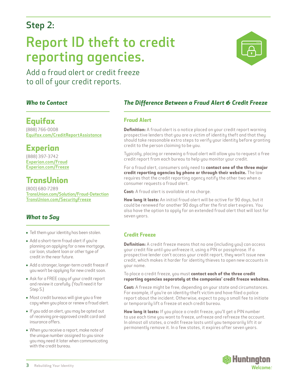### Step 2:

## Report ID theft to credit reporting agencies.

Add a fraud alert or credit freeze to all of your credit reports.

### *Who to Contact*

### **Equifax**

(888) 766-0008 [Equifax.com/CreditReportAssistance](http://www.Equifax.com/CreditReportAssistance
)

### **Experian**

(888) 397-3742 [Experian.com/Fraud](https://www.experian.com/fraud) [Experian.com/Freeze](https://www.experian.com/freeze/center.html)

### **TransUnion**

(800) 680-7289 [TransUnion.com/Solution/Fraud](https://www.transunion.com/solution/fraud-detection)-Detection [TransUnion.com/SecurityFreeze](https://www.transunion.com/blog/identity-protection/credit-freeze-vs-credit-lock)

### *What to Say*

- Tell them your identity has been stolen.
- Add a short-term fraud alert if you're planning on applying for a new mortgage, car loan, student loan or other type of credit in the near future.
- Add a stronger, longer-term credit freeze if you won't be applying for new credit soon.
- Ask for a FREE copy of your credit report and review it carefully. (You'll need it for Step 5.)
- Most credit bureaus will give you a free copy when you place or renew a fraud alert.
- If you add an alert, you may be opted out of receiving pre-approved credit card and insurance offers.
- When you receive a report, make note of the unique number assigned to you since you may need it later when communicating with the credit bureau.

### *The Difference Between a Fraud Alert & Credit Freeze*

#### **Fraud Alert**

**Definition:** A fraud alert is a notice placed on your credit report warning prospective lenders that you are a victim of identity theft and that they should take reasonable extra steps to verify your identity before granting credit to the person claiming to be you.

Typically, placing or renewing a fraud alert will allow you to request a free credit report from each bureau to help you monitor your credit.

For a fraud alert, consumers only need to **contact one of the three major credit reporting agencies by phone or through their website.** The law requires that the credit reporting agency notify the other two when a consumer requests a fraud alert.

**Cost:** A fraud alert is available at no charge.

**How long it lasts:** An initial fraud alert will be active for 90 days, but it could be renewed for another 90 days after the first alert expires. You also have the option to apply for an extended fraud alert that will last for seven years.

#### **Credit Freeze**

**Definition:** A credit freeze means that no one (including you) can access your credit file until you unfreeze it, using a PIN or passphrase. If a prospective lender can't access your credit report, they won't issue new credit, which makes it harder for identity thieves to open new accounts in your name.

To place a credit freeze, you must **contact each of the three credit reporting agencies separately at the companies' credit freeze websites.**

**Cost:** A freeze might be free, depending on your state and circumstances. For example, if you're an identity-theft victim and have filed a police report about the incident. Otherwise, expect to pay a small fee to initiate or temporarily lift a freeze at each credit bureau.

**How long it lasts:** If you place a credit freeze, you'll get a PIN number to use each time you want to freeze, unfreeze and refreeze the account. In almost all states, a credit freeze lasts until you temporarily lift it or permanently remove it. In a few states, it expires after seven years.

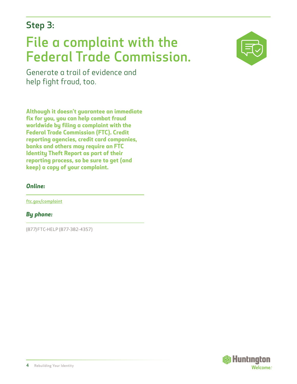### Step 3:

## File a complaint with the Federal Trade Commission.



Generate a trail of evidence and help fight fraud, too.

**Although it doesn't guarantee an immediate fix for you, you can help combat fraud worldwide by filing a complaint with the Federal Trade Commission (FTC). Credit reporting agencies, credit card companies, banks and others may require an FTC Identity Theft Report as part of their reporting process, so be sure to get (and keep) a copy of your complaint.**

### *Online:*

[ftc.gov/complaint](http://www.ftc.gov/complaint)

*By phone:*

(877) FTC-HELP (877-382-4357)

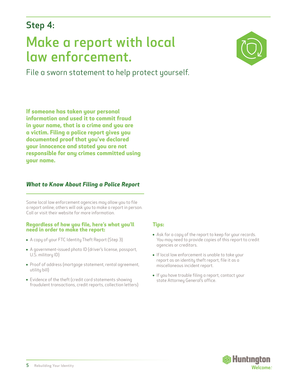### Step 4:

## Make a report with local law enforcement.

File a sworn statement to help protect yourself.



**If someone has taken your personal information and used it to commit fraud in your name, that is a crime and you are a victim. Filing a police report gives you documented proof that you've declared your innocence and stated you are not responsible for any crimes committed using your name.**

### *What to Know About Filing a Police Report*

Some local law enforcement agencies may allow you to file a report online; others will ask you to make a report in person. Call or visit their website for more information.

#### **Regardless of how you file, here's what you'll need in order to make the report:**

- A copy of your FTC Identity Theft Report (Step 3)
- A government-issued photo ID (driver's license, passport, U.S. military ID)
- Proof of address (mortgage statement, rental agreement, utility bill)
- Evidence of the theft (credit card statements showing fraudulent transactions, credit reports, collection letters)

#### **Tips:**

- Ask for a copy of the report to keep for your records. You may need to provide copies of this report to credit agencies or creditors.
- If local law enforcement is unable to take your report as an identity theft report, file it as a miscellaneous incident report.
- If you have trouble filing a report, contact your state Attorney General's office.

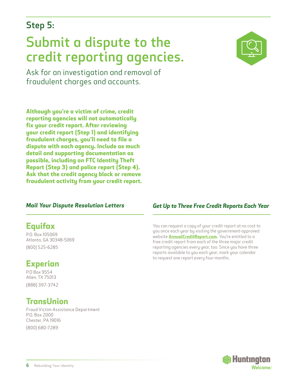### Step 5:

## Submit a dispute to the credit reporting agencies.

Ask for an investigation and removal of fraudulent charges and accounts.

**Although you're a victim of crime, credit reporting agencies will not automatically fix your credit report. After reviewing your credit report (Step 1) and identifying fraudulent charges, you'll need to file a dispute with each agency. Include as much detail and supporting documentation as possible, including an FTC Identity Theft Report (Step 3) and police report (Step 4). Ask that the credit agency block or remove fraudulent activity from your credit report.**

### *Mail Your Dispute Resolution Letters*

### **Equifax**

P.O. Box 105069 Atlanta, GA 30348-5069 (800) 525-6285

### **Experian**

P.O Box 9554 Allen, TX 75013 (888) 397-3742

### **TransUnion**

Fraud Victim Assistance Department P.O. Box 2000 Chester, PA 19016 (800) 680-7289



### *Get Up to Three Free Credit Reports Each Year*

You can request a copy of your credit report at no cost to you once each year by visiting the government-approved website **[AnnualCreditReport.com](http://www.AnnualCreditReport.com).** You're entitled to a free credit report from each of the three major credit reporting agencies every year, too. Since you have three reports available to you each year, mark your calendar to request one report every four months.

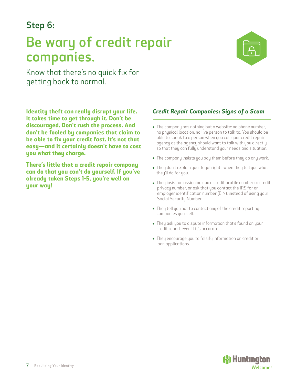### Step 6:

## Be wary of credit repair companies.



Know that there's no quick fix for getting back to normal.

**Identity theft can really disrupt your life. It takes time to get through it. Don't be discouraged. Don't rush the process. And don't be fooled by companies that claim to be able to fix your credit fast. It's not that easy—and it certainly doesn't have to cost you what they charge.**

**There's little that a credit repair company can do that you can't do yourself. If you've already taken Steps 1-5, you're well on your way!**

### *Credit Repair Companies: Signs of a Scam*

- The company has nothing but a website: no phone number, no physical location, no live person to talk to. You should be able to speak to a person when you call your credit repair agency as the agency should want to talk with you directly so that they can fully understand your needs and situation.
- The company insists you pay them before they do any work.
- They don't explain your legal rights when they tell you what they'll do for you.
- They insist on assigning you a credit profile number or credit privacy number, or ask that you contact the IRS for an employer identification number (EIN), instead of using your Social Security Number.
- They tell you not to contact any of the credit reporting companies yourself.
- They ask you to dispute information that's found on your credit report even if it's accurate.
- They encourage you to falsify information on credit or loan applications.

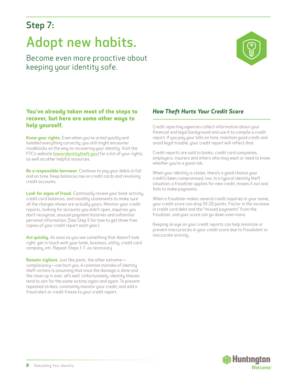### Step 7:

## Adopt new habits.

Become even more proactive about keeping your identity safe.



### **You've already taken most of the steps to recover, but here are some other ways to help yourself.**

**Know your rights.** Even when you've acted quickly and handled everything correctly, you still might encounter roadblocks on the way to recovering your identity. Visit the FTC's website ([www.identitytheft.gov](http://www.identitytheft.gov)) for a list of your rights, as well as other helpful resources.

**Be a responsible borrower.** Continue to pay your debts in full and on time. Keep balances low on credit cards and revolving credit accounts.

**Look for signs of fraud.** Continually review your bank activity, credit card balances, and monthly statements to make sure all the charges shown are actually yours. Monitor your credit reports, looking for accounts you didn't open, inquiries you don't recognize, unusual payment histories and unfamiliar personal information. (See Step 5 for how to get three free copies of your credit report each year.)

**Act quickly.** As soon as you see something that doesn't look right, get in touch with your bank, business, utility, credit card company, etc. Repeat Steps 1-7, as necessary.

**Remain vigilant.** Just like panic, the other extreme complacency—can hurt you. A common mistake of identity theft victims is assuming that once the damage is done and the clean up is over, all's well. Unfortunately, identity thieves tend to aim for the same victims again and again. To prevent repeated strikes, constantly monitor your credit, and add a fraud alert or credit freeze to your credit report.

### *How Theft Hurts Your Credit Score*

Credit reporting agencies collect information about your financial and legal background and use it to compile a credit report. If you pay your bills on time, maintain good credit and avoid legal trouble, your credit report will reflect that.

Credit reports are sold to banks, credit card companies, employers, insurers and others who may want or need to know whether you're a good risk.

When your identity is stolen, there's a good chance your credit's been compromised, too. In a typical identity theft situation, a fraudster applies for new credit, maxes it out and fails to make payments.

When a fraudster makes several credit inquiries in your name, your credit score can drop 10-20 points. Factor in the increase in credit card debt and the "missed payments" from the fraudster, and your score can go down even more.

Keeping an eye on your credit reports can help minimize or prevent inaccuracies in your credit score due to fraudulent or inaccurate activity.